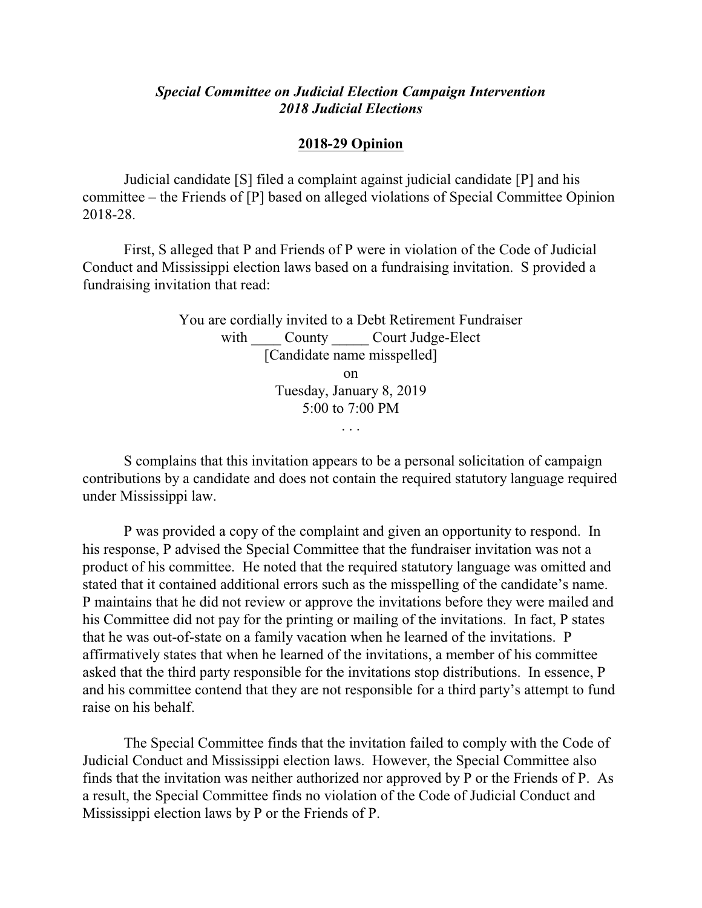## *Special Committee on Judicial Election Campaign Intervention 2018 Judicial Elections*

## **2018-29 Opinion**

Judicial candidate [S] filed a complaint against judicial candidate [P] and his committee – the Friends of [P] based on alleged violations of Special Committee Opinion 2018-28.

First, S alleged that P and Friends of P were in violation of the Code of Judicial Conduct and Mississippi election laws based on a fundraising invitation. S provided a fundraising invitation that read:

> You are cordially invited to a Debt Retirement Fundraiser with County Court Judge-Elect [Candidate name misspelled] on Tuesday, January 8, 2019 5:00 to 7:00 PM . . .

S complains that this invitation appears to be a personal solicitation of campaign contributions by a candidate and does not contain the required statutory language required under Mississippi law.

P was provided a copy of the complaint and given an opportunity to respond. In his response, P advised the Special Committee that the fundraiser invitation was not a product of his committee. He noted that the required statutory language was omitted and stated that it contained additional errors such as the misspelling of the candidate's name. P maintains that he did not review or approve the invitations before they were mailed and his Committee did not pay for the printing or mailing of the invitations. In fact, P states that he was out-of-state on a family vacation when he learned of the invitations. P affirmatively states that when he learned of the invitations, a member of his committee asked that the third party responsible for the invitations stop distributions. In essence, P and his committee contend that they are not responsible for a third party's attempt to fund raise on his behalf.

The Special Committee finds that the invitation failed to comply with the Code of Judicial Conduct and Mississippi election laws. However, the Special Committee also finds that the invitation was neither authorized nor approved by P or the Friends of P. As a result, the Special Committee finds no violation of the Code of Judicial Conduct and Mississippi election laws by P or the Friends of P.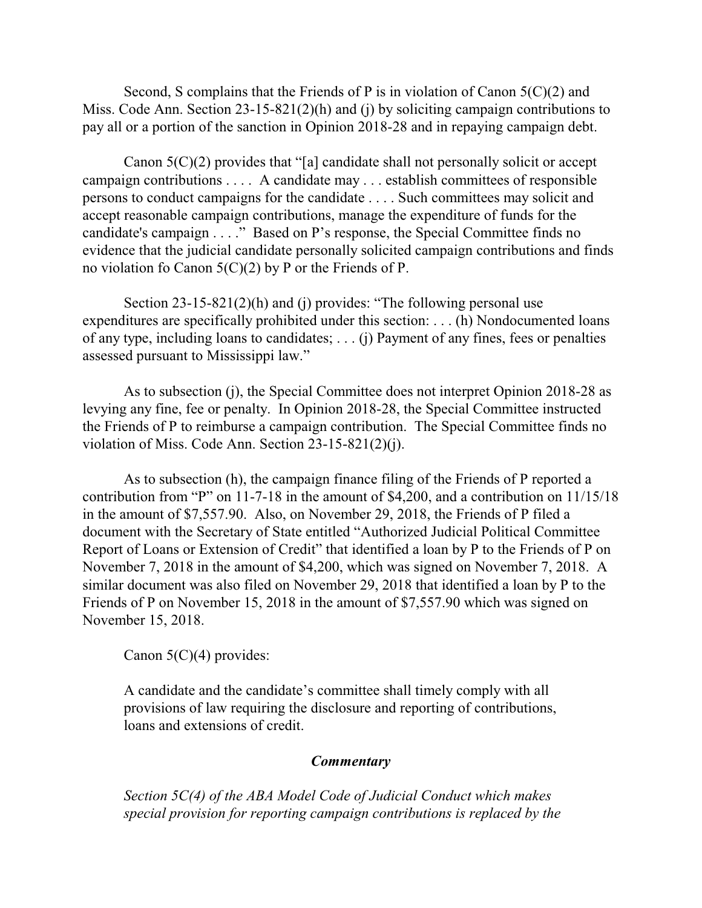Second, S complains that the Friends of P is in violation of Canon 5(C)(2) and Miss. Code Ann. Section 23-15-821(2)(h) and (j) by soliciting campaign contributions to pay all or a portion of the sanction in Opinion 2018-28 and in repaying campaign debt.

Canon  $5(C)(2)$  provides that "[a] candidate shall not personally solicit or accept campaign contributions . . . . A candidate may . . . establish committees of responsible persons to conduct campaigns for the candidate . . . . Such committees may solicit and accept reasonable campaign contributions, manage the expenditure of funds for the candidate's campaign . . . ." Based on P's response, the Special Committee finds no evidence that the judicial candidate personally solicited campaign contributions and finds no violation fo Canon 5(C)(2) by P or the Friends of P.

Section 23-15-821(2)(h) and (j) provides: "The following personal use expenditures are specifically prohibited under this section: . . . (h) Nondocumented loans of any type, including loans to candidates; . . . (j) Payment of any fines, fees or penalties assessed pursuant to Mississippi law."

As to subsection (j), the Special Committee does not interpret Opinion 2018-28 as levying any fine, fee or penalty. In Opinion 2018-28, the Special Committee instructed the Friends of P to reimburse a campaign contribution. The Special Committee finds no violation of Miss. Code Ann. Section 23-15-821(2)(j).

As to subsection (h), the campaign finance filing of the Friends of P reported a contribution from "P" on 11-7-18 in the amount of \$4,200, and a contribution on 11/15/18 in the amount of \$7,557.90. Also, on November 29, 2018, the Friends of P filed a document with the Secretary of State entitled "Authorized Judicial Political Committee Report of Loans or Extension of Credit" that identified a loan by P to the Friends of P on November 7, 2018 in the amount of \$4,200, which was signed on November 7, 2018. A similar document was also filed on November 29, 2018 that identified a loan by P to the Friends of P on November 15, 2018 in the amount of \$7,557.90 which was signed on November 15, 2018.

Canon  $5(C)(4)$  provides:

A candidate and the candidate's committee shall timely comply with all provisions of law requiring the disclosure and reporting of contributions, loans and extensions of credit.

## *Commentary*

*Section 5C(4) of the ABA Model Code of Judicial Conduct which makes special provision for reporting campaign contributions is replaced by the*